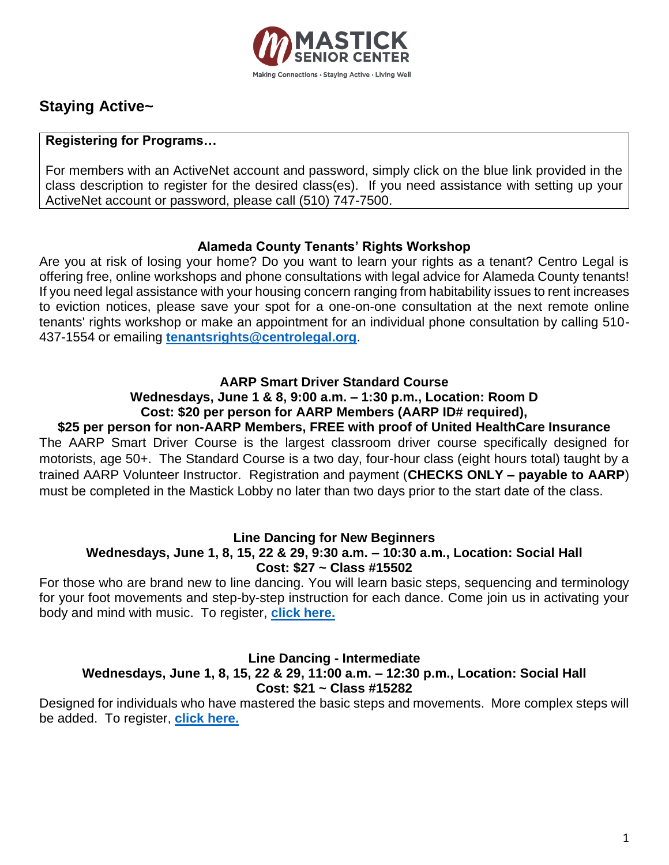

# **Staying Active~**

# **Registering for Programs…**

For members with an ActiveNet account and password, simply click on the blue link provided in the class description to register for the desired class(es). If you need assistance with setting up your ActiveNet account or password, please call (510) 747-7500.

# **Alameda County Tenants' Rights Workshop**

Are you at risk of losing your home? Do you want to learn your rights as a tenant? Centro Legal is offering free, online workshops and phone consultations with legal advice for Alameda County tenants! If you need legal assistance with your housing concern ranging from habitability issues to rent increases to eviction notices, please save your spot for a one-on-one consultation at the next remote online tenants' rights workshop or make an appointment for an individual phone consultation by calling 510- 437-1554 or emailing **[tenantsrights@centrolegal.org](mailto:tenantsrights@centrolegal.org)**.

# **AARP Smart Driver Standard Course**

# **Wednesdays, June 1 & 8, 9:00 a.m. – 1:30 p.m., Location: Room D Cost: \$20 per person for AARP Members (AARP ID# required),**

**\$25 per person for non-AARP Members, FREE with proof of United HealthCare Insurance**  The AARP Smart Driver Course is the largest classroom driver course specifically designed for motorists, age 50+. The Standard Course is a two day, four-hour class (eight hours total) taught by a trained AARP Volunteer Instructor. Registration and payment (**CHECKS ONLY – payable to AARP**) must be completed in the Mastick Lobby no later than two days prior to the start date of the class.

# **Line Dancing for New Beginners**

# **Wednesdays, June 1, 8, 15, 22 & 29, 9:30 a.m. – 10:30 a.m., Location: Social Hall Cost: \$27 ~ Class #15502**

For those who are brand new to line dancing. You will learn basic steps, sequencing and terminology for your foot movements and step-by-step instruction for each dance. Come join us in activating your body and mind with music. To register, **[click here.](https://anc.apm.activecommunities.com/alamedarecreation/activity/search/detail/10506?onlineSiteId=0&from_original_cui=true)**

# **Line Dancing - Intermediate Wednesdays, June 1, 8, 15, 22 & 29, 11:00 a.m. – 12:30 p.m., Location: Social Hall Cost: \$21 ~ Class #15282**

Designed for individuals who have mastered the basic steps and movements. More complex steps will be added. To register, **[click here.](https://anc.apm.activecommunities.com/alamedarecreation/activity/search/detail/10286?onlineSiteId=0&from_original_cui=true)**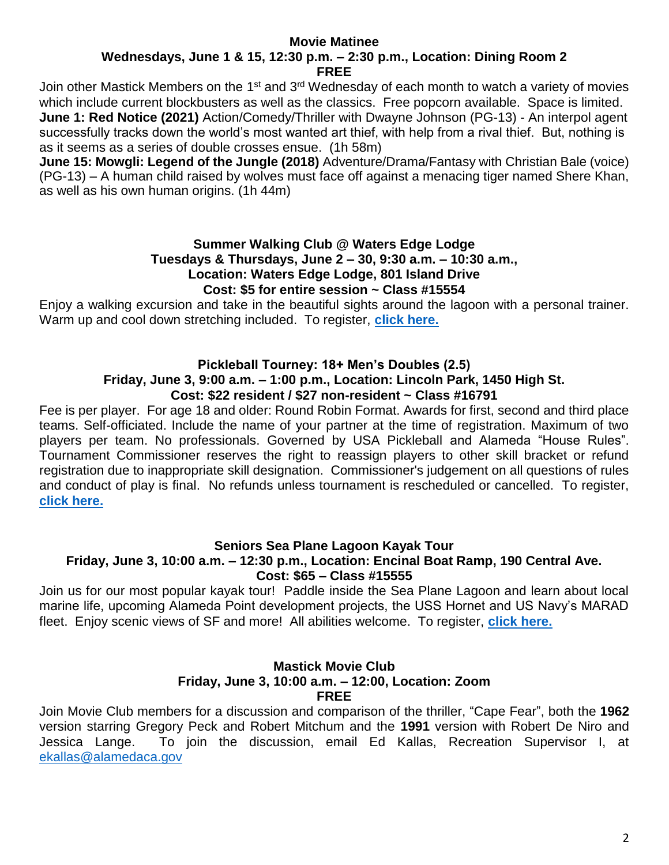#### **Movie Matinee Wednesdays, June 1 & 15, 12:30 p.m. – 2:30 p.m., Location: Dining Room 2 FREE**

Join other Mastick Members on the 1<sup>st</sup> and 3<sup>rd</sup> Wednesday of each month to watch a variety of movies which include current blockbusters as well as the classics. Free popcorn available. Space is limited. **June 1: Red Notice (2021)** Action/Comedy/Thriller with Dwayne Johnson (PG-13) - An interpol agent successfully tracks down the world's most wanted art thief, with help from a rival thief. But, nothing is as it seems as a series of double crosses ensue. (1h 58m)

**June 15: Mowgli: Legend of the Jungle (2018)** Adventure/Drama/Fantasy with Christian Bale (voice) (PG-13) – A human child raised by wolves must face off against a menacing tiger named Shere Khan, as well as his own human origins. (1h 44m)

### **Summer Walking Club @ Waters Edge Lodge Tuesdays & Thursdays, June 2 – 30, 9:30 a.m. – 10:30 a.m., Location: Waters Edge Lodge, 801 Island Drive Cost: \$5 for entire session ~ Class #15554**

Enjoy a walking excursion and take in the beautiful sights around the lagoon with a personal trainer. Warm up and cool down stretching included. To register, **[click here.](https://anc.apm.activecommunities.com/alamedarecreation/activity/search/detail/10558?onlineSiteId=0&from_original_cui=true)**

# **Pickleball Tourney: 18+ Men's Doubles (2.5)**

#### **Friday, June 3, 9:00 a.m. – 1:00 p.m., Location: Lincoln Park, 1450 High St. Cost: \$22 resident / \$27 non-resident ~ Class #16791**

Fee is per player. For age 18 and older: Round Robin Format. Awards for first, second and third place teams. Self-officiated. Include the name of your partner at the time of registration. Maximum of two players per team. No professionals. Governed by USA Pickleball and Alameda "House Rules". Tournament Commissioner reserves the right to reassign players to other skill bracket or refund registration due to inappropriate skill designation. Commissioner's judgement on all questions of rules and conduct of play is final. No refunds unless tournament is rescheduled or cancelled. To register, **[click here.](https://anc.apm.activecommunities.com/alamedarecreation/activity/search/detail/11795?onlineSiteId=0&from_original_cui=true)**

# **Seniors Sea Plane Lagoon Kayak Tour**

# **Friday, June 3, 10:00 a.m. – 12:30 p.m., Location: Encinal Boat Ramp, 190 Central Ave. Cost: \$65 – Class #15555**

Join us for our most popular kayak tour! Paddle inside the Sea Plane Lagoon and learn about local marine life, upcoming Alameda Point development projects, the USS Hornet and US Navy's MARAD fleet. Enjoy scenic views of SF and more! All abilities welcome. To register, **[click here.](https://anc.apm.activecommunities.com/alamedarecreation/activity/search/detail/10559?onlineSiteId=0&from_original_cui=true)**

### **Mastick Movie Club Friday, June 3, 10:00 a.m. – 12:00, Location: Zoom FREE**

Join Movie Club members for a discussion and comparison of the thriller, "Cape Fear", both the **1962** version starring Gregory Peck and Robert Mitchum and the **1991** version with Robert De Niro and Jessica Lange. To join the discussion, email Ed Kallas, Recreation Supervisor I, at [ekallas@alamedaca.gov](mailto:ekallas@alamedaca.gov)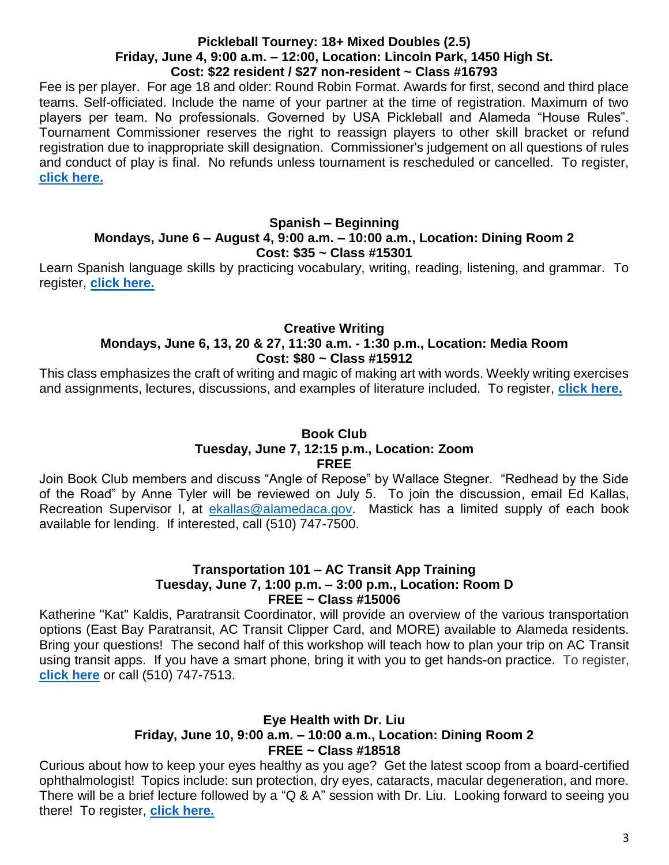#### **Pickleball Tourney: 18+ Mixed Doubles (2.5) Friday, June 4, 9:00 a.m. – 12:00, Location: Lincoln Park, 1450 High St. Cost: \$22 resident / \$27 non-resident ~ Class #16793**

Fee is per player. For age 18 and older: Round Robin Format. Awards for first, second and third place teams. Self-officiated. Include the name of your partner at the time of registration. Maximum of two players per team. No professionals. Governed by USA Pickleball and Alameda "House Rules". Tournament Commissioner reserves the right to reassign players to other skill bracket or refund registration due to inappropriate skill designation. Commissioner's judgement on all questions of rules and conduct of play is final. No refunds unless tournament is rescheduled or cancelled. To register, **[click here.](https://anc.apm.activecommunities.com/alamedarecreation/activity/search/detail/11797?onlineSiteId=0&from_original_cui=true)**

# **Spanish – Beginning Mondays, June 6 – August 4, 9:00 a.m. – 10:00 a.m., Location: Dining Room 2 Cost: \$35 ~ Class #15301**

Learn Spanish language skills by practicing vocabulary, writing, reading, listening, and grammar. To register, **[click here.](https://anc.apm.activecommunities.com/alamedarecreation/activity/search/detail/10569?onlineSiteId=0&from_original_cui=true)**

# **Creative Writing**

# **Mondays, June 6, 13, 20 & 27, 11:30 a.m. - 1:30 p.m., Location: Media Room Cost: \$80 ~ Class #15912**

This class emphasizes the craft of writing and magic of making art with words. Weekly writing exercises and assignments, lectures, discussions, and examples of literature included. To register, **[click here.](https://anc.apm.activecommunities.com/alamedarecreation/activity/search/detail/10916?onlineSiteId=0&from_original_cui=true)**

# **Book Club Tuesday, June 7, 12:15 p.m., Location: Zoom FREE**

Join Book Club members and discuss "Angle of Repose" by Wallace Stegner. "Redhead by the Side of the Road" by Anne Tyler will be reviewed on July 5. To join the discussion, email Ed Kallas, Recreation Supervisor I, at [ekallas@alamedaca.gov.](mailto:ekallas@alamedaca.gov) Mastick has a limited supply of each book available for lending. If interested, call (510) 747-7500.

# **Transportation 101 – AC Transit App Training Tuesday, June 7, 1:00 p.m. – 3:00 p.m., Location: Room D FREE ~ Class #15006**

Katherine "Kat" Kaldis, Paratransit Coordinator, will provide an overview of the various transportation options (East Bay Paratransit, AC Transit Clipper Card, and MORE) available to Alameda residents. Bring your questions! The second half of this workshop will teach how to plan your trip on AC Transit using transit apps. If you have a smart phone, bring it with you to get hands-on practice. To register, **[click here](https://anc.apm.activecommunities.com/alamedarecreation/activity/search/detail/10010?onlineSiteId=0&from_original_cui=true)** or call (510) 747-7513.

# **Eye Health with Dr. Liu Friday, June 10, 9:00 a.m. – 10:00 a.m., Location: Dining Room 2 FREE ~ Class #18518**

Curious about how to keep your eyes healthy as you age? Get the latest scoop from a board-certified ophthalmologist! Topics include: sun protection, dry eyes, cataracts, macular degeneration, and more. There will be a brief lecture followed by a "Q & A" session with Dr. Liu. Looking forward to seeing you there! To register, **[click here.](https://anc.apm.activecommunities.com/alamedarecreation/activity/search/detail/13522?onlineSiteId=0&from_original_cui=true)**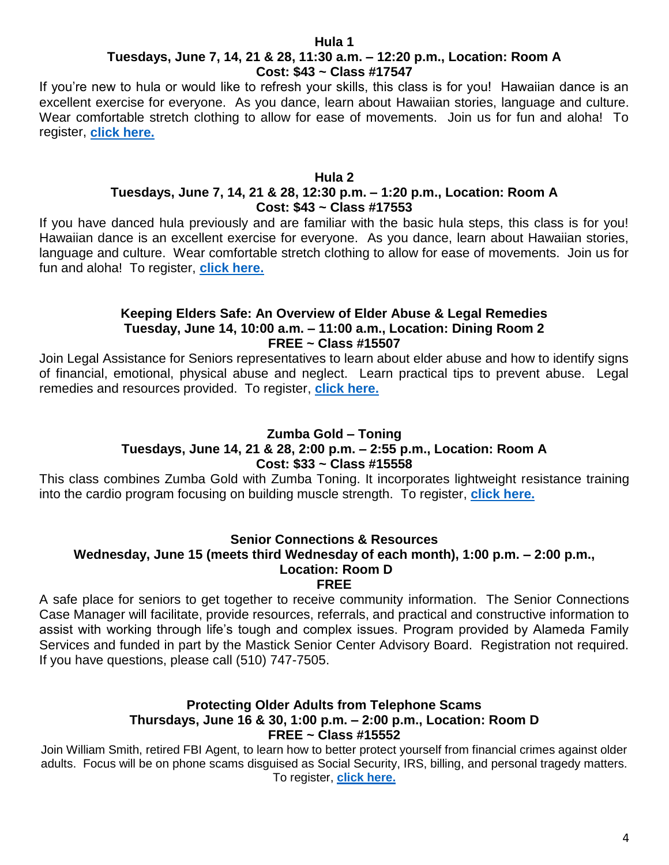#### **Hula 1**

# **Tuesdays, June 7, 14, 21 & 28, 11:30 a.m. – 12:20 p.m., Location: Room A Cost: \$43 ~ Class #17547**

If you're new to hula or would like to refresh your skills, this class is for you! Hawaiian dance is an excellent exercise for everyone. As you dance, learn about Hawaiian stories, language and culture. Wear comfortable stretch clothing to allow for ease of movements. Join us for fun and aloha! To register, **[click here.](https://anc.apm.activecommunities.com/alamedarecreation/activity/search/detail/12551?onlineSiteId=0&from_original_cui=true)**

#### **Hula 2 Tuesdays, June 7, 14, 21 & 28, 12:30 p.m. – 1:20 p.m., Location: Room A Cost: \$43 ~ Class #17553**

If you have danced hula previously and are familiar with the basic hula steps, this class is for you! Hawaiian dance is an excellent exercise for everyone. As you dance, learn about Hawaiian stories, language and culture. Wear comfortable stretch clothing to allow for ease of movements. Join us for fun and aloha! To register, **[click here.](https://anc.apm.activecommunities.com/alamedarecreation/activity/search/detail/12557?onlineSiteId=0&from_original_cui=true)**

### **Keeping Elders Safe: An Overview of Elder Abuse & Legal Remedies Tuesday, June 14, 10:00 a.m. – 11:00 a.m., Location: Dining Room 2 FREE ~ Class #15507**

Join Legal Assistance for Seniors representatives to learn about elder abuse and how to identify signs of financial, emotional, physical abuse and neglect. Learn practical tips to prevent abuse. Legal remedies and resources provided. To register, **[click here.](https://anc.apm.activecommunities.com/alamedarecreation/activity/search/detail/10511?onlineSiteId=0&from_original_cui=true)**

# **Zumba Gold – Toning**

# **Tuesdays, June 14, 21 & 28, 2:00 p.m. – 2:55 p.m., Location: Room A Cost: \$33 ~ Class #15558**

This class combines Zumba Gold with Zumba Toning. It incorporates lightweight resistance training into the cardio program focusing on building muscle strength. To register, **[click here.](https://anc.apm.activecommunities.com/alamedarecreation/activity/search/detail/10562?onlineSiteId=0&from_original_cui=true)**

# **Senior Connections & Resources**

# **Wednesday, June 15 (meets third Wednesday of each month), 1:00 p.m. – 2:00 p.m., Location: Room D**

**FREE**

A safe place for seniors to get together to receive community information. The Senior Connections Case Manager will facilitate, provide resources, referrals, and practical and constructive information to assist with working through life's tough and complex issues. Program provided by Alameda Family Services and funded in part by the Mastick Senior Center Advisory Board. Registration not required. If you have questions, please call (510) 747-7505.

#### **Protecting Older Adults from Telephone Scams Thursdays, June 16 & 30, 1:00 p.m. – 2:00 p.m., Location: Room D FREE ~ Class #15552**

Join William Smith, retired FBI Agent, to learn how to better protect yourself from financial crimes against older adults. Focus will be on phone scams disguised as Social Security, IRS, billing, and personal tragedy matters. To register, **[click here.](https://anc.apm.activecommunities.com/alamedarecreation/activity/search/detail/10556?onlineSiteId=0&from_original_cui=true)**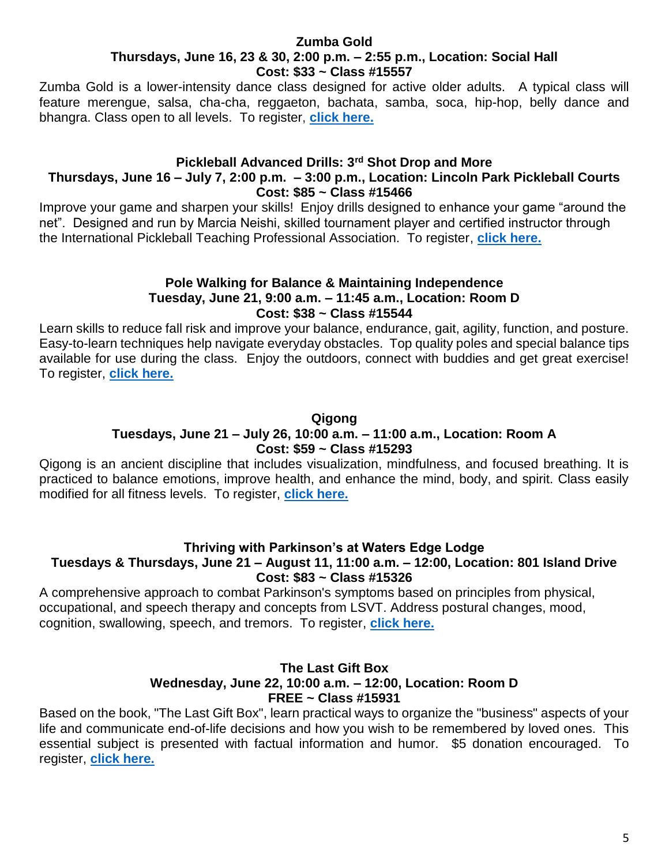#### **Zumba Gold Thursdays, June 16, 23 & 30, 2:00 p.m. – 2:55 p.m., Location: Social Hall Cost: \$33 ~ Class #15557**

Zumba Gold is a lower-intensity dance class designed for active older adults. A typical class will feature merengue, salsa, cha-cha, reggaeton, bachata, samba, soca, hip-hop, belly dance and bhangra. Class open to all levels. To register, **[click here.](https://anc.apm.activecommunities.com/alamedarecreation/activity/search/detail/10561?onlineSiteId=0&from_original_cui=true)**

### **Pickleball Advanced Drills: 3rd Shot Drop and More**

# **Thursdays, June 16 – July 7, 2:00 p.m. – 3:00 p.m., Location: Lincoln Park Pickleball Courts Cost: \$85 ~ Class #15466**

Improve your game and sharpen your skills! Enjoy drills designed to enhance your game "around the net". Designed and run by Marcia Neishi, skilled tournament player and certified instructor through the International Pickleball Teaching Professional Association. To register, **[click here.](https://anc.apm.activecommunities.com/alamedarecreation/activity/search/detail/10470?onlineSiteId=0&from_original_cui=true)**

# **Pole Walking for Balance & Maintaining Independence Tuesday, June 21, 9:00 a.m. – 11:45 a.m., Location: Room D Cost: \$38 ~ Class #15544**

Learn skills to reduce fall risk and improve your balance, endurance, gait, agility, function, and posture. Easy-to-learn techniques help navigate everyday obstacles. Top quality poles and special balance tips available for use during the class. Enjoy the outdoors, connect with buddies and get great exercise! To register, **[click here.](https://anc.apm.activecommunities.com/alamedarecreation/activity/search/detail/10548?onlineSiteId=0&from_original_cui=true)**

# **Qigong Tuesdays, June 21 – July 26, 10:00 a.m. – 11:00 a.m., Location: Room A Cost: \$59 ~ Class #15293**

Qigong is an ancient discipline that includes visualization, mindfulness, and focused breathing. It is practiced to balance emotions, improve health, and enhance the mind, body, and spirit. Class easily modified for all fitness levels. To register, **[click here.](https://anc.apm.activecommunities.com/alamedarecreation/activity/search/detail/10297?onlineSiteId=0&from_original_cui=true)**

# **Thriving with Parkinson's at Waters Edge Lodge**

# **Tuesdays & Thursdays, June 21 – August 11, 11:00 a.m. – 12:00, Location: 801 Island Drive Cost: \$83 ~ Class #15326**

A comprehensive approach to combat Parkinson's symptoms based on principles from physical, occupational, and speech therapy and concepts from LSVT. Address postural changes, mood, cognition, swallowing, speech, and tremors. To register, **[click here.](https://anc.apm.activecommunities.com/alamedarecreation/activity/search/detail/10330?onlineSiteId=0&from_original_cui=true)**

# **The Last Gift Box Wednesday, June 22, 10:00 a.m. – 12:00, Location: Room D FREE ~ Class #15931**

Based on the book, "The Last Gift Box", learn practical ways to organize the "business" aspects of your life and communicate end-of-life decisions and how you wish to be remembered by loved ones. This essential subject is presented with factual information and humor. \$5 donation encouraged. To register, **[click here.](https://anc.apm.activecommunities.com/alamedarecreation/activity/search/detail/10935?onlineSiteId=0&from_original_cui=true)**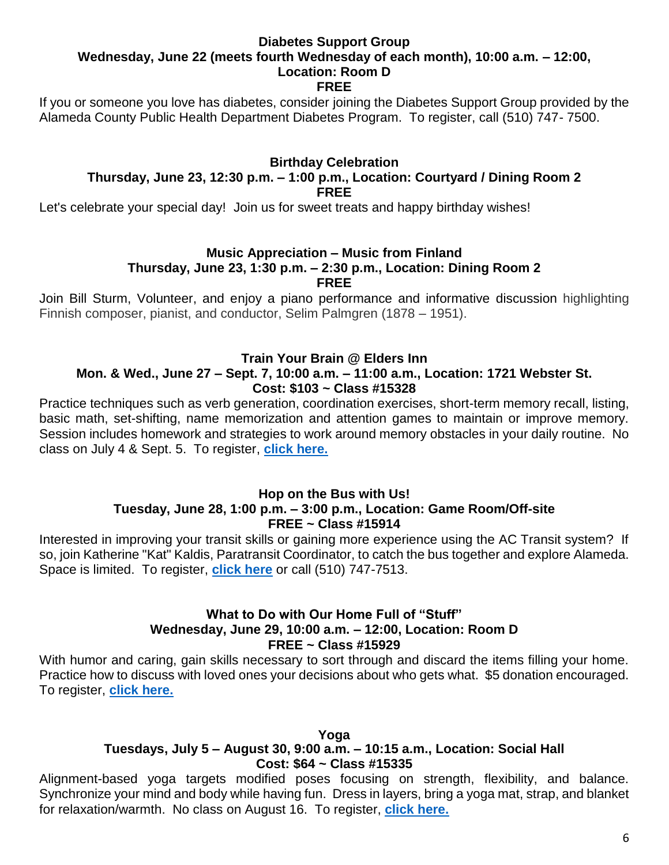# **Diabetes Support Group Wednesday, June 22 (meets fourth Wednesday of each month), 10:00 a.m. – 12:00, Location: Room D**

**FREE**

If you or someone you love has diabetes, consider joining the Diabetes Support Group provided by the Alameda County Public Health Department Diabetes Program. To register, call (510) 747- 7500.

### **Birthday Celebration Thursday, June 23, 12:30 p.m. – 1:00 p.m., Location: Courtyard / Dining Room 2 FREE**

Let's celebrate your special day! Join us for sweet treats and happy birthday wishes!

# **Music Appreciation – Music from Finland**

# **Thursday, June 23, 1:30 p.m. – 2:30 p.m., Location: Dining Room 2**

**FREE**

Join Bill Sturm, Volunteer, and enjoy a piano performance and informative discussion highlighting Finnish composer, pianist, and conductor, Selim Palmgren (1878 – 1951).

# **Train Your Brain @ Elders Inn**

### **Mon. & Wed., June 27 – Sept. 7, 10:00 a.m. – 11:00 a.m., Location: 1721 Webster St. Cost: \$103 ~ Class #15328**

Practice techniques such as verb generation, coordination exercises, short-term memory recall, listing, basic math, set-shifting, name memorization and attention games to maintain or improve memory. Session includes homework and strategies to work around memory obstacles in your daily routine. No class on July 4 & Sept. 5. To register, **[click here.](https://anc.apm.activecommunities.com/alamedarecreation/activity/search/detail/10332?onlineSiteId=0&from_original_cui=true)**

### **Hop on the Bus with Us! Tuesday, June 28, 1:00 p.m. – 3:00 p.m., Location: Game Room/Off-site FREE ~ Class #15914**

Interested in improving your transit skills or gaining more experience using the AC Transit system? If so, join Katherine "Kat" Kaldis, Paratransit Coordinator, to catch the bus together and explore Alameda. Space is limited. To register, **[click here](https://anc.apm.activecommunities.com/alamedarecreation/activity/search/detail/10918?onlineSiteId=0&from_original_cui=true)** or call (510) 747-7513.

# **What to Do with Our Home Full of "Stuff" Wednesday, June 29, 10:00 a.m. – 12:00, Location: Room D FREE ~ Class #15929**

With humor and caring, gain skills necessary to sort through and discard the items filling your home. Practice how to discuss with loved ones your decisions about who gets what. \$5 donation encouraged. To register, **[click here.](https://anc.apm.activecommunities.com/alamedarecreation/activity/search/detail/10933?onlineSiteId=0&from_original_cui=true)**

**Yoga**

# **Tuesdays, July 5 – August 30, 9:00 a.m. – 10:15 a.m., Location: Social Hall Cost: \$64 ~ Class #15335**

Alignment-based yoga targets modified poses focusing on strength, flexibility, and balance. Synchronize your mind and body while having fun. Dress in layers, bring a yoga mat, strap, and blanket for relaxation/warmth. No class on August 16. To register, **[click here.](https://anc.apm.activecommunities.com/alamedarecreation/activity/search/detail/10339?onlineSiteId=0&from_original_cui=true)**